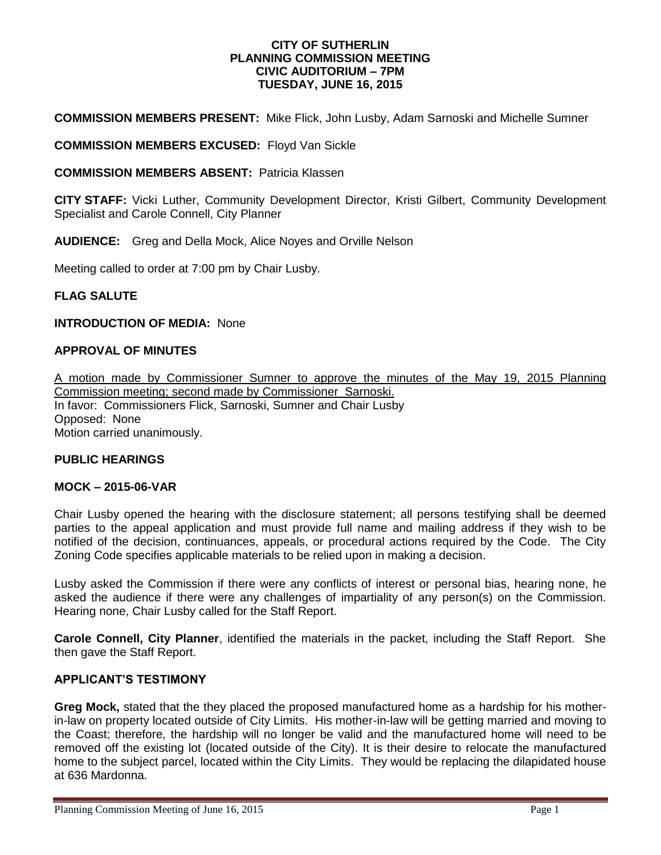#### **CITY OF SUTHERLIN PLANNING COMMISSION MEETING CIVIC AUDITORIUM – 7PM TUESDAY, JUNE 16, 2015**

**COMMISSION MEMBERS PRESENT:** Mike Flick, John Lusby, Adam Sarnoski and Michelle Sumner

**COMMISSION MEMBERS EXCUSED:** Floyd Van Sickle

**COMMISSION MEMBERS ABSENT:** Patricia Klassen

**CITY STAFF:** Vicki Luther, Community Development Director, Kristi Gilbert, Community Development Specialist and Carole Connell, City Planner

**AUDIENCE:** Greg and Della Mock, Alice Noyes and Orville Nelson

Meeting called to order at 7:00 pm by Chair Lusby.

**FLAG SALUTE**

## **INTRODUCTION OF MEDIA:** None

## **APPROVAL OF MINUTES**

A motion made by Commissioner Sumner to approve the minutes of the May 19, 2015 Planning Commission meeting; second made by Commissioner Sarnoski. In favor: Commissioners Flick, Sarnoski, Sumner and Chair Lusby Opposed:None Motion carried unanimously.

#### **PUBLIC HEARINGS**

#### **MOCK – 2015-06-VAR**

Chair Lusby opened the hearing with the disclosure statement; all persons testifying shall be deemed parties to the appeal application and must provide full name and mailing address if they wish to be notified of the decision, continuances, appeals, or procedural actions required by the Code. The City Zoning Code specifies applicable materials to be relied upon in making a decision.

Lusby asked the Commission if there were any conflicts of interest or personal bias, hearing none, he asked the audience if there were any challenges of impartiality of any person(s) on the Commission. Hearing none, Chair Lusby called for the Staff Report.

**Carole Connell, City Planner**, identified the materials in the packet, including the Staff Report. She then gave the Staff Report.

### **APPLICANT'S TESTIMONY**

**Greg Mock,** stated that the they placed the proposed manufactured home as a hardship for his motherin-law on property located outside of City Limits. His mother-in-law will be getting married and moving to the Coast; therefore, the hardship will no longer be valid and the manufactured home will need to be removed off the existing lot (located outside of the City). It is their desire to relocate the manufactured home to the subject parcel, located within the City Limits. They would be replacing the dilapidated house at 636 Mardonna.